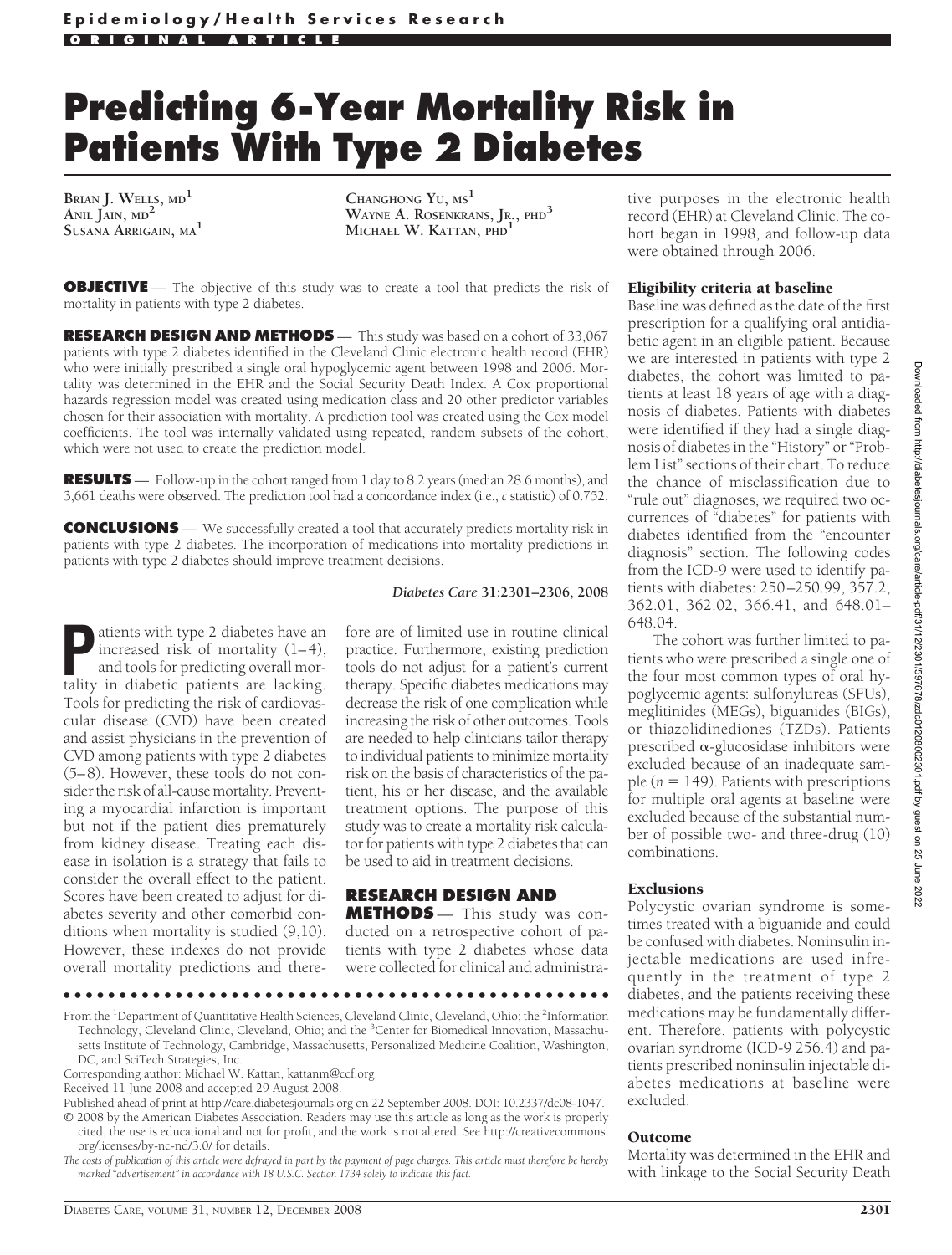# **Predicting 6-Year Mortality Risk in Patients With Type 2 Diabetes**

**BRIAN J. WELLS, MD<sup>1</sup> ANIL JAIN, MD<sup>2</sup> SUSANA ARRIGAIN, MA<sup>1</sup>** **CHANGHONG YU, MS<sup>1</sup> WAYNE A. ROSENKRANS, JR., PHD<sup>3</sup> MICHAEL W. KATTAN, PHD<sup>1</sup>**

**OBJECTIVE** — The objective of this study was to create a tool that predicts the risk of mortality in patients with type 2 diabetes.

**RESEARCH DESIGN AND METHODS** — This study was based on a cohort of 33,067 patients with type 2 diabetes identified in the Cleveland Clinic electronic health record (EHR) who were initially prescribed a single oral hypoglycemic agent between 1998 and 2006. Mortality was determined in the EHR and the Social Security Death Index. A Cox proportional hazards regression model was created using medication class and 20 other predictor variables chosen for their association with mortality. A prediction tool was created using the Cox model coefficients. The tool was internally validated using repeated, random subsets of the cohort, which were not used to create the prediction model.

**RESULTS** — Follow-up in the cohort ranged from 1 day to 8.2 years (median 28.6 months), and 3,661 deaths were observed. The prediction tool had a concordance index (i.e., *c* statistic) of 0.752.

**CONCLUSIONS** — We successfully created a tool that accurately predicts mortality risk in patients with type 2 diabetes. The incorporation of medications into mortality predictions in patients with type 2 diabetes should improve treatment decisions.

#### *Diabetes Care* **31:2301–2306, 2008**

**Patients with type 2 diabetes have an** increased risk of mortality (1–4), and tools for predicting overall mortality in diabetic patients are lacking increased risk of mortality (1–4), tality in diabetic patients are lacking. Tools for predicting the risk of cardiovascular disease (CVD) have been created and assist physicians in the prevention of CVD among patients with type 2 diabetes (5–8). However, these tools do not consider the risk of all-cause mortality. Preventing a myocardial infarction is important but not if the patient dies prematurely from kidney disease. Treating each disease in isolation is a strategy that fails to consider the overall effect to the patient. Scores have been created to adjust for diabetes severity and other comorbid conditions when mortality is studied (9,10). However, these indexes do not provide overall mortality predictions and there-

fore are of limited use in routine clinical practice. Furthermore, existing prediction tools do not adjust for a patient's current therapy. Specific diabetes medications may decrease the risk of one complication while increasing the risk of other outcomes. Tools are needed to help clinicians tailor therapy to individual patients to minimize mortality risk on the basis of characteristics of the patient, his or her disease, and the available treatment options. The purpose of this study was to create a mortality risk calculator for patients with type 2 diabetes that can be used to aid in treatment decisions.

# **RESEARCH DESIGN AND**

**METHODS** — This study was conducted on a retrospective cohort of patients with type 2 diabetes whose data were collected for clinical and administra-

●●●●●●●●●●●●●●●●●●●●●●●●●●●●●●●●●●●●●●●●●●●●●●●●●

From the <sup>1</sup>Department of Quantitative Health Sciences, Cleveland Clinic, Cleveland, Ohio; the <sup>2</sup>Information Technology, Cleveland Clinic, Cleveland, Ohio; and the <sup>3</sup>Center for Biomedical Innovation, Massachusetts Institute of Technology, Cambridge, Massachusetts, Personalized Medicine Coalition, Washington, DC, and SciTech Strategies, Inc.

Corresponding author: Michael W. Kattan, kattanm@ccf.org.

cited, the use is educational and not for profit, and the work is not altered. See http://creativecommons.

org/licenses/by-nc-nd/3.0/ for details. *The costs of publication of this article were defrayed in part by the payment of page charges. This article must therefore be hereby marked "advertisement" in accordance with 18 U.S.C. Section 1734 solely to indicate this fact.*

tive purposes in the electronic health record (EHR) at Cleveland Clinic. The cohort began in 1998, and follow-up data were obtained through 2006.

#### Eligibility criteria at baseline

Baseline was defined as the date of the first prescription for a qualifying oral antidiabetic agent in an eligible patient. Because we are interested in patients with type 2 diabetes, the cohort was limited to patients at least 18 years of age with a diagnosis of diabetes. Patients with diabetes were identified if they had a single diagnosis of diabetes in the "History" or "Problem List" sections of their chart. To reduce the chance of misclassification due to "rule out" diagnoses, we required two occurrences of "diabetes" for patients with diabetes identified from the "encounter diagnosis" section. The following codes from the ICD-9 were used to identify patients with diabetes: 250–250.99, 357.2, 362.01, 362.02, 366.41, and 648.01– 648.04.

The cohort was further limited to patients who were prescribed a single one of the four most common types of oral hypoglycemic agents: sulfonylureas (SFUs), meglitinides (MEGs), biguanides (BIGs), or thiazolidinediones (TZDs). Patients prescribed  $\alpha$ -glucosidase inhibitors were excluded because of an inadequate sam $ple (n = 149)$ . Patients with prescriptions for multiple oral agents at baseline were excluded because of the substantial number of possible two- and three-drug (10) combinations.

#### Exclusions

Polycystic ovarian syndrome is sometimes treated with a biguanide and could be confused with diabetes. Noninsulin injectable medications are used infrequently in the treatment of type 2 diabetes, and the patients receiving these medications may be fundamentally different. Therefore, patients with polycystic ovarian syndrome (ICD-9 256.4) and patients prescribed noninsulin injectable diabetes medications at baseline were excluded.

#### Outcome

Mortality was determined in the EHR and with linkage to the Social Security Death

Received 11 June 2008 and accepted 29 August 2008.

Published ahead of print at http://care.diabetesjournals.org on 22 September 2008. DOI: 10.2337/dc08-1047. © 2008 by the American Diabetes Association. Readers may use this article as long as the work is properly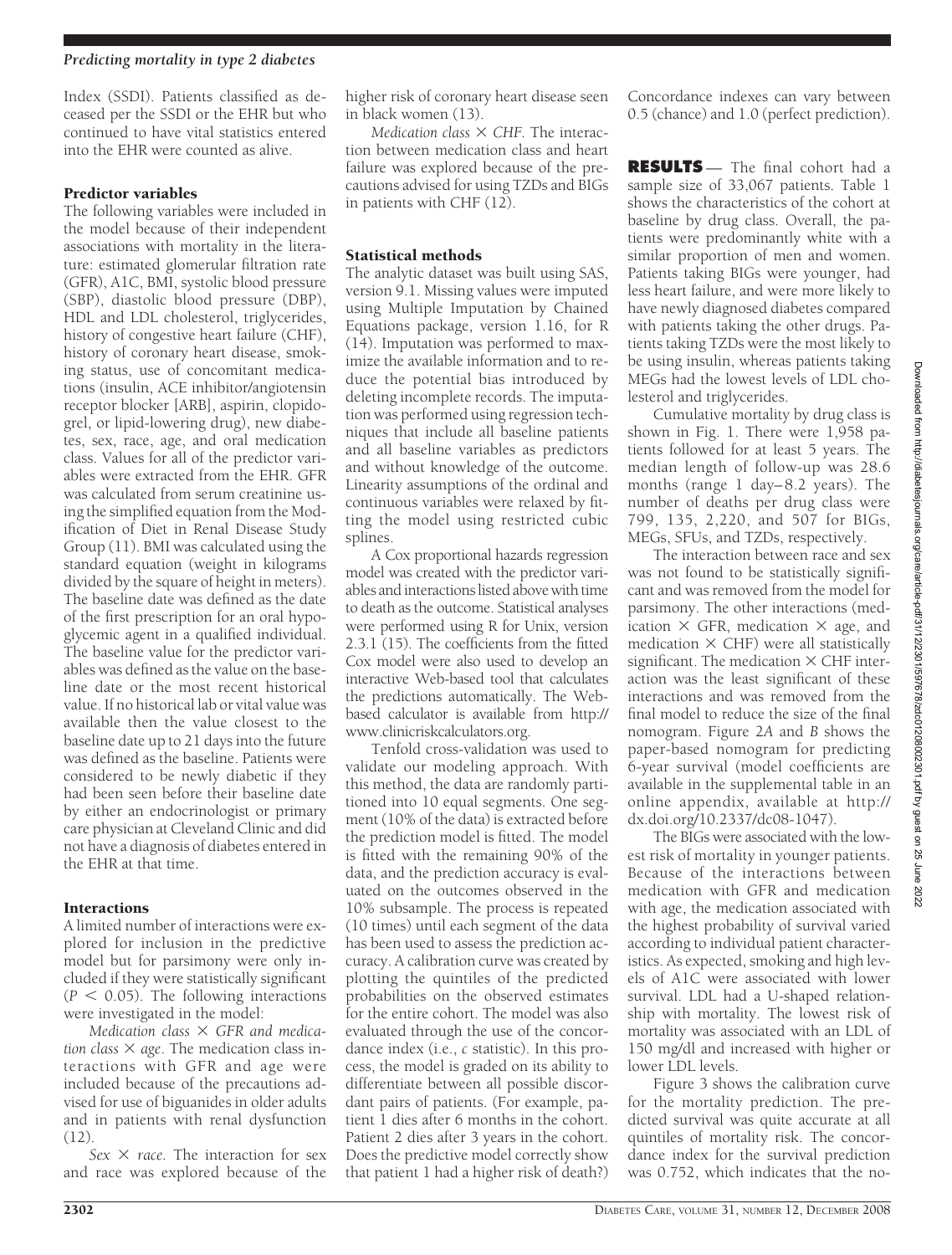## *Predicting mortality in type 2 diabetes*

Index (SSDI). Patients classified as deceased per the SSDI or the EHR but who continued to have vital statistics entered into the EHR were counted as alive.

# Predictor variables

The following variables were included in the model because of their independent associations with mortality in the literature: estimated glomerular filtration rate (GFR), A1C, BMI, systolic blood pressure (SBP), diastolic blood pressure (DBP), HDL and LDL cholesterol, triglycerides, history of congestive heart failure (CHF), history of coronary heart disease, smoking status, use of concomitant medications (insulin, ACE inhibitor/angiotensin receptor blocker [ARB], aspirin, clopidogrel, or lipid-lowering drug), new diabetes, sex, race, age, and oral medication class. Values for all of the predictor variables were extracted from the EHR. GFR was calculated from serum creatinine using the simplified equation from the Modification of Diet in Renal Disease Study Group (11). BMI was calculated using the standard equation (weight in kilograms divided by the square of height in meters). The baseline date was defined as the date of the first prescription for an oral hypoglycemic agent in a qualified individual. The baseline value for the predictor variables was defined as the value on the baseline date or the most recent historical value. If no historical lab or vital value was available then the value closest to the baseline date up to 21 days into the future was defined as the baseline. Patients were considered to be newly diabetic if they had been seen before their baseline date by either an endocrinologist or primary care physician at Cleveland Clinic and did not have a diagnosis of diabetes entered in the EHR at that time.

# Interactions

A limited number of interactions were explored for inclusion in the predictive model but for parsimony were only included if they were statistically significant  $(P < 0.05)$ . The following interactions were investigated in the model:

*Medication class GFR and medication class*  $\times$  *age*. The medication class interactions with GFR and age were included because of the precautions advised for use of biguanides in older adults and in patients with renal dysfunction (12).

*Sex race.* The interaction for sex and race was explored because of the higher risk of coronary heart disease seen in black women (13).

*Medication class CHF.* The interaction between medication class and heart failure was explored because of the precautions advised for using TZDs and BIGs in patients with CHF (12).

# Statistical methods

The analytic dataset was built using SAS, version 9.1. Missing values were imputed using Multiple Imputation by Chained Equations package, version 1.16, for R (14). Imputation was performed to maximize the available information and to reduce the potential bias introduced by deleting incomplete records. The imputation was performed using regression techniques that include all baseline patients and all baseline variables as predictors and without knowledge of the outcome. Linearity assumptions of the ordinal and continuous variables were relaxed by fitting the model using restricted cubic splines.

A Cox proportional hazards regression model was created with the predictor variables and interactions listed above with time to death as the outcome. Statistical analyses were performed using R for Unix, version 2.3.1 (15). The coefficients from the fitted Cox model were also used to develop an interactive Web-based tool that calculates the predictions automatically. The Webbased calculator is available from http:// www.clinicriskcalculators.org.

Tenfold cross-validation was used to validate our modeling approach. With this method, the data are randomly partitioned into 10 equal segments. One segment (10% of the data) is extracted before the prediction model is fitted. The model is fitted with the remaining 90% of the data, and the prediction accuracy is evaluated on the outcomes observed in the 10% subsample. The process is repeated (10 times) until each segment of the data has been used to assess the prediction accuracy. A calibration curve was created by plotting the quintiles of the predicted probabilities on the observed estimates for the entire cohort. The model was also evaluated through the use of the concordance index (i.e., *c* statistic). In this process, the model is graded on its ability to differentiate between all possible discordant pairs of patients. (For example, patient 1 dies after 6 months in the cohort. Patient 2 dies after 3 years in the cohort. Does the predictive model correctly show that patient 1 had a higher risk of death?)

Concordance indexes can vary between 0.5 (chance) and 1.0 (perfect prediction).

**RESULTS** — The final cohort had a sample size of 33,067 patients. Table 1 shows the characteristics of the cohort at baseline by drug class. Overall, the patients were predominantly white with a similar proportion of men and women. Patients taking BIGs were younger, had less heart failure, and were more likely to have newly diagnosed diabetes compared with patients taking the other drugs. Patients taking TZDs were the most likely to be using insulin, whereas patients taking MEGs had the lowest levels of LDL cholesterol and triglycerides.

Cumulative mortality by drug class is shown in Fig. 1. There were 1,958 patients followed for at least 5 years. The median length of follow-up was 28.6 months (range 1 day–8.2 years). The number of deaths per drug class were 799, 135, 2,220, and 507 for BIGs, MEGs, SFUs, and TZDs, respectively.

The interaction between race and sex was not found to be statistically significant and was removed from the model for parsimony. The other interactions (medication  $\times$  GFR, medication  $\times$  age, and medication  $\times$  CHF) were all statistically significant. The medication  $\times$  CHF interaction was the least significant of these interactions and was removed from the final model to reduce the size of the final nomogram. Figure 2*A* and *B* shows the paper-based nomogram for predicting 6-year survival (model coefficients are available in the supplemental table in an online appendix, available at http:// dx.doi.org/10.2337/dc08-1047).

The BIGs were associated with the lowest risk of mortality in younger patients. Because of the interactions between medication with GFR and medication with age, the medication associated with the highest probability of survival varied according to individual patient characteristics. As expected, smoking and high levels of A1C were associated with lower survival. LDL had a U-shaped relationship with mortality. The lowest risk of mortality was associated with an LDL of 150 mg/dl and increased with higher or lower LDL levels.

Figure 3 shows the calibration curve for the mortality prediction. The predicted survival was quite accurate at all quintiles of mortality risk. The concordance index for the survival prediction was 0.752, which indicates that the no-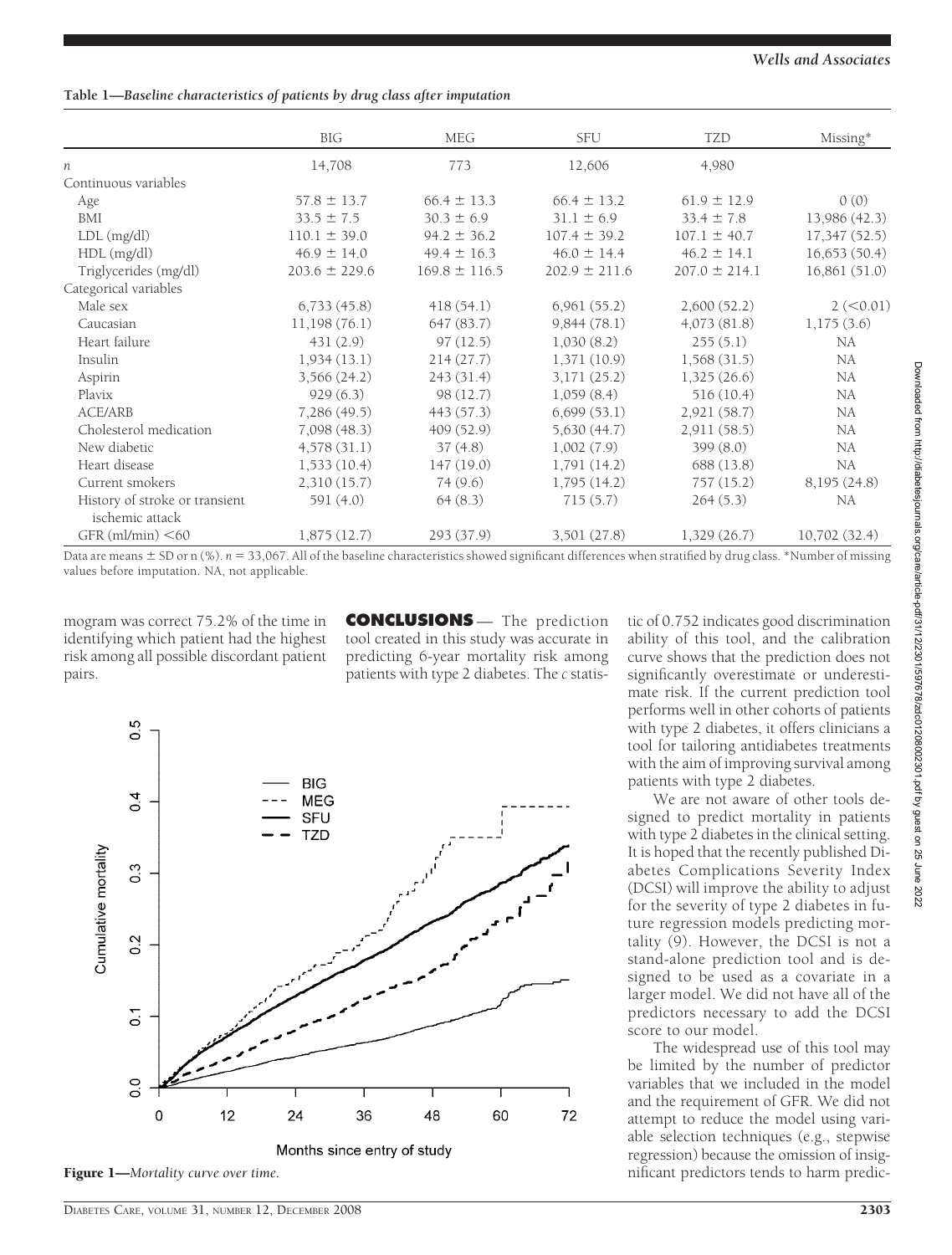**Table 1—***Baseline characteristics of patients by drug class after imputation*

|                                                   | BIG               | <b>MEG</b>        | <b>SFU</b>        | <b>TZD</b>        | Missing*      |
|---------------------------------------------------|-------------------|-------------------|-------------------|-------------------|---------------|
| n                                                 | 14,708            | 773               | 12,606            | 4,980             |               |
| Continuous variables                              |                   |                   |                   |                   |               |
| Age                                               | $57.8 \pm 13.7$   | $66.4 \pm 13.3$   | $66.4 \pm 13.2$   | $61.9 \pm 12.9$   | 0(0)          |
| BMI                                               | $33.5 \pm 7.5$    | $30.3 \pm 6.9$    | $31.1 \pm 6.9$    | $33.4 \pm 7.8$    | 13,986 (42.3) |
| $LDL$ (mg/dl)                                     | $110.1 \pm 39.0$  | $94.2 \pm 36.2$   | $107.4 \pm 39.2$  | $107.1 \pm 40.7$  | 17,347(52.5)  |
| HDL (mg/dl)                                       | $46.9 \pm 14.0$   | $49.4 \pm 16.3$   | $46.0 \pm 14.4$   | $46.2 \pm 14.1$   | 16,653(50.4)  |
| Triglycerides (mg/dl)                             | $203.6 \pm 229.6$ | $169.8 \pm 116.5$ | $202.9 \pm 211.6$ | $207.0 \pm 214.1$ | 16,861(51.0)  |
| Categorical variables                             |                   |                   |                   |                   |               |
| Male sex                                          | 6,733(45.8)       | 418(54.1)         | 6,961(55.2)       | 2,600(52.2)       | 2 (< 0.01)    |
| Caucasian                                         | 11,198(76.1)      | 647 (83.7)        | 9,844(78.1)       | 4,073(81.8)       | 1,175(3.6)    |
| Heart failure                                     | 431(2.9)          | 97(12.5)          | 1,030(8.2)        | 255(5.1)          | NA            |
| Insulin                                           | 1,934(13.1)       | 214(27.7)         | 1,371(10.9)       | 1,568(31.5)       | NA            |
| Aspirin                                           | 3,566(24.2)       | 243(31.4)         | 3,171(25.2)       | 1,325(26.6)       | NA            |
| Plavix                                            | 929(6.3)          | 98(12.7)          | 1,059(8.4)        | 516(10.4)         | NA            |
| ACE/ARB                                           | 7,286 (49.5)      | 443 (57.3)        | 6,699(53.1)       | 2,921 (58.7)      | NA.           |
| Cholesterol medication                            | 7,098(48.3)       | 409 (52.9)        | 5,630(44.7)       | 2,911(58.5)       | NA            |
| New diabetic                                      | 4,578(31.1)       | 37(4.8)           | 1,002(7.9)        | 399(8.0)          | NA            |
| Heart disease                                     | 1,533(10.4)       | 147(19.0)         | 1,791(14.2)       | 688 (13.8)        | NA            |
| Current smokers                                   | 2,310(15.7)       | 74(9.6)           | 1,795(14.2)       | 757(15.2)         | 8,195 (24.8)  |
| History of stroke or transient<br>ischemic attack | 591 (4.0)         | 64(8.3)           | 715(5.7)          | 264(5.3)          | NA            |
| $GFR$ (ml/min) $<$ 60                             | 1,875(12.7)       | 293 (37.9)        | 3,501 (27.8)      | 1,329(26.7)       | 10,702 (32.4) |

Data are means  $\pm$  SD or n (%).  $n = 33,067$ . All of the baseline characteristics showed significant differences when stratified by drug class. \*Number of missing values before imputation. NA, not applicable.

mogram was correct 75.2% of the time in identifying which patient had the highest risk among all possible discordant patient pairs.

**CONCLUSIONS** — The prediction tool created in this study was accurate in predicting 6-year mortality risk among patients with type 2 diabetes. The *c* statis-



tic of 0.752 indicates good discrimination ability of this tool, and the calibration curve shows that the prediction does not significantly overestimate or underestimate risk. If the current prediction tool performs well in other cohorts of patients with type 2 diabetes, it offers clinicians a tool for tailoring antidiabetes treatments with the aim of improving survival among patients with type 2 diabetes.

We are not aware of other tools designed to predict mortality in patients with type 2 diabetes in the clinical setting. It is hoped that the recently published Diabetes Complications Severity Index (DCSI) will improve the ability to adjust for the severity of type 2 diabetes in future regression models predicting mortality (9). However, the DCSI is not a stand-alone prediction tool and is designed to be used as a covariate in a larger model. We did not have all of the predictors necessary to add the DCSI score to our model.

The widespread use of this tool may be limited by the number of predictor variables that we included in the model and the requirement of GFR. We did not attempt to reduce the model using variable selection techniques (e.g., stepwise regression) because the omission of insig-Figure 1—*Mortality curve over time.* Note that the set of the night predictors tends to harm predic-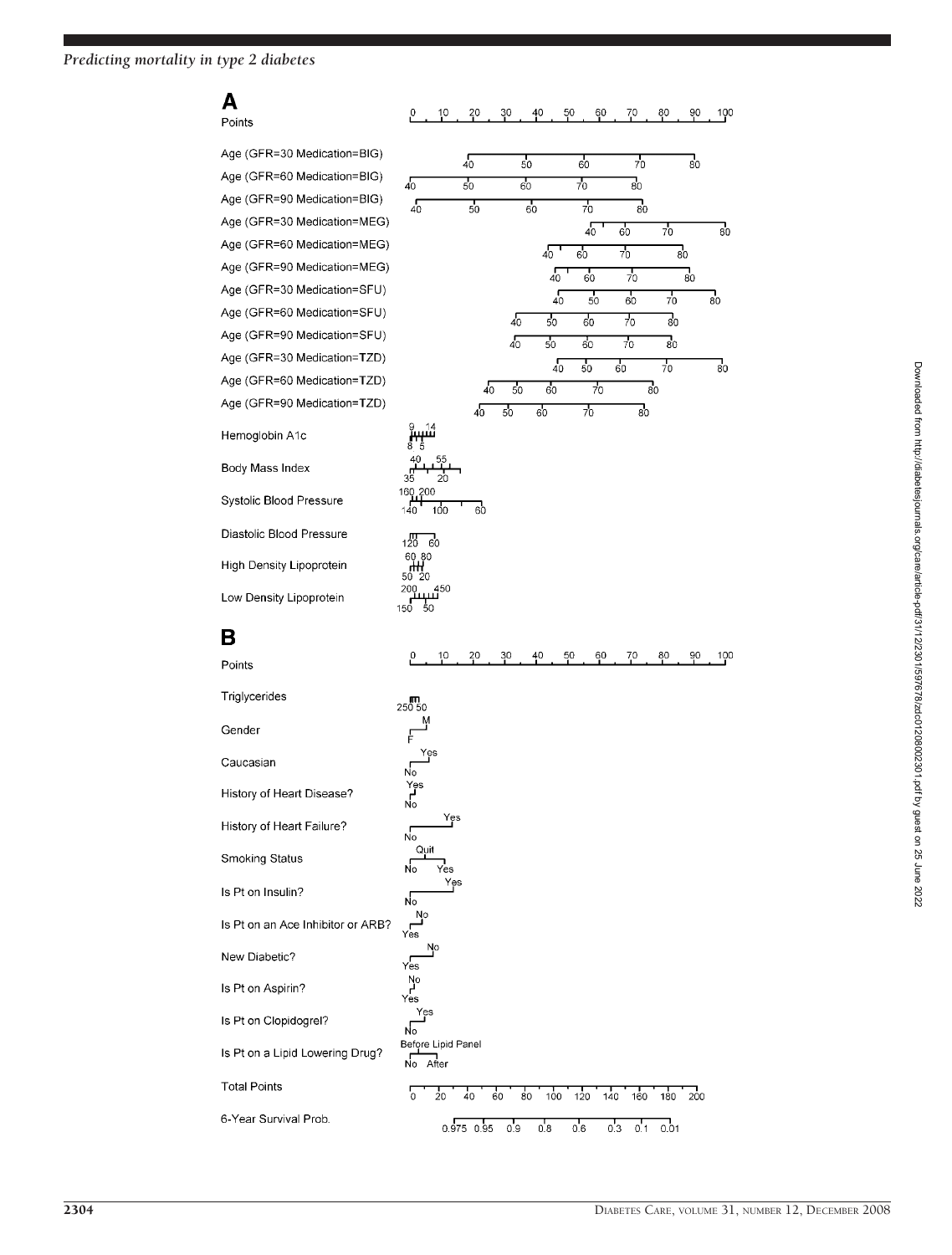# A

Points

Age (GFR=30 Medication=BIG) Age (GFR=60 Medication=BIG) Age (GFR=90 Medication=BIG) Age (GFR=30 Medication=MEG) Age (GFR=60 Medication=MEG) Age (GFR=90 Medication=MEG) Age (GFR=30 Medication=SFU) Age (GFR=60 Medication=SFU) Age (GFR=90 Medication=SFU) Age (GFR=30 Medication=TZD) Age (GFR=60 Medication=TZD) Age (GFR=90 Medication=TZD)

Hemoglobin A1c

Body Mass Index

Systolic Blood Pressure

Diastolic Blood Pressure

High Density Lipoprotein

Low Density Lipoprotein

 $\overline{\phantom{0}}$  $10$  $^{20}$  $30$  $40$  $50\,$  $60\,$  $70$ 80 90 100

 $100$ 

 $10$  $^{20}$  $30$ 

 $120 - 60$ 

 $\begin{array}{r} 126 \ 60 \ 80 \ 70 \ 200 \ 450 \ 150 \ 50 \end{array}$ 

 $\int_0$ 

 $\overline{60}$ 

 $^{40}$  $50$  $60$  $70$ 80 90  $100$ 

 $\sqrt{40}$  $\frac{1}{70}$ 긩80  $\overline{50}$  $\overline{60}$  $\overline{50}$  $40$  $\overline{60}$  $\frac{1}{70}$  $\overline{30}$  $40^{\degree}$  $\overline{30}$  $50$  $60$  $\frac{1}{70}$  $40$ 긞  $60$  $70$  $\sqrt{40}$  $\overline{60}$  $\frac{1}{70}$ 品  $\sqrt{40}$ 7<br>80  $\overline{60}$  $\frac{1}{70}$  $40$  $\overline{50}$  $\overline{60}$  $\frac{1}{70}$ 고<br>80  $40\degree$  $\frac{1}{70}$ 品  $50$  $60$  $40$  $\overline{3}0$  $\overline{50}$  $60$  $\frac{1}{70}$  $\sqrt{40}$  $\frac{1}{50}$  $\frac{1}{60}$  $\frac{1}{70}$  $80$  $70$  $\overline{30}$  $40^{-}$  $50$  $\overline{60}$  $4<sub>0</sub>$  $50$  $60$  $\overline{70}$  $_{80}$  $\begin{array}{c}\n 9.14 \\
8.5 \\
35\n \end{array}$ <br>  $35$  $\begin{array}{r}\n 160,200 \\
\hline\n 140\n \end{array}$ 

# B

| Points                            | υ<br>10<br>ζU<br>ąυ<br>40<br>öΩ<br>öυ<br>70<br>ĕυ<br>Яņ                          |
|-----------------------------------|----------------------------------------------------------------------------------|
| Triglycerides                     | $250\,50$                                                                        |
| Gender                            | М<br>F                                                                           |
| Caucasian                         | Yes<br>$\sqrt{2}$                                                                |
| History of Heart Disease?         | $\sum_{N_O}^{Yes}$                                                               |
| History of Heart Failure?         | Yes<br>No                                                                        |
| Smoking Status                    | Quit<br>Nο<br>Yes                                                                |
| Is Pt on Insulin?                 | Yes<br>No                                                                        |
| Is Pt on an Ace Inhibitor or ARB? | No<br>$Y_{\text{es}}$                                                            |
| New Diabetic?                     | No<br>$Y_{\text{es}}$                                                            |
| Is Pt on Aspirin?                 | ەr<br>م<br>Yes                                                                   |
| Is Pt on Clopidogrel?             | Yes<br>No                                                                        |
| Is Pt on a Lipid Lowering Drug?   | Before Lipid Panel<br>No After                                                   |
| <b>Total Points</b>               | 'o<br>$\frac{1}{80}$<br>60<br>20<br>40<br>100<br>120<br>140<br>160<br>180<br>200 |
| 6-Year Survival Prob.             | $\overline{0.6}$<br>0.3<br>0.8<br>0.9<br>0.1<br>0.975 0.95<br>0.01               |
|                                   |                                                                                  |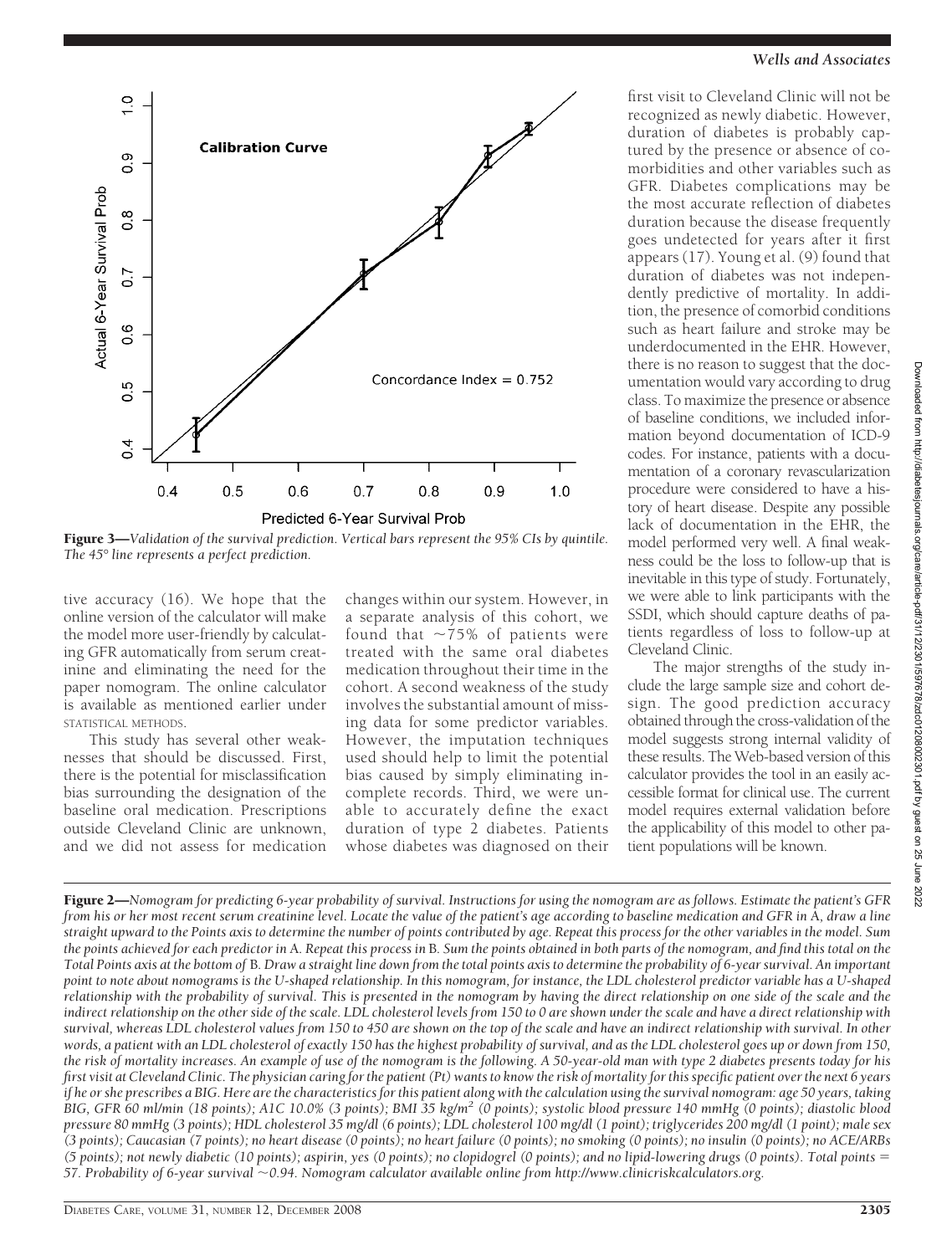

Figure 3—*Validation of the survival prediction. Vertical bars represent the 95% CIs by quintile. The 45° line represents a perfect prediction.*

tive accuracy (16). We hope that the online version of the calculator will make the model more user-friendly by calculating GFR automatically from serum creatinine and eliminating the need for the paper nomogram. The online calculator is available as mentioned earlier under STATISTICAL METHODS.

This study has several other weaknesses that should be discussed. First, there is the potential for misclassification bias surrounding the designation of the baseline oral medication. Prescriptions outside Cleveland Clinic are unknown, and we did not assess for medication

changes within our system. However, in a separate analysis of this cohort, we found that  $\sim$ 75% of patients were treated with the same oral diabetes medication throughout their time in the cohort. A second weakness of the study involves the substantial amount of missing data for some predictor variables. However, the imputation techniques used should help to limit the potential bias caused by simply eliminating incomplete records. Third, we were unable to accurately define the exact duration of type 2 diabetes. Patients whose diabetes was diagnosed on their

#### *Wells and Associates*

first visit to Cleveland Clinic will not be recognized as newly diabetic. However, duration of diabetes is probably captured by the presence or absence of comorbidities and other variables such as GFR. Diabetes complications may be the most accurate reflection of diabetes duration because the disease frequently goes undetected for years after it first appears (17). Young et al. (9) found that duration of diabetes was not independently predictive of mortality. In addition, the presence of comorbid conditions such as heart failure and stroke may be underdocumented in the EHR. However, there is no reason to suggest that the documentation would vary according to drug class. To maximize the presence or absence of baseline conditions, we included information beyond documentation of ICD-9 codes. For instance, patients with a documentation of a coronary revascularization procedure were considered to have a history of heart disease. Despite any possible lack of documentation in the EHR, the model performed very well. A final weakness could be the loss to follow-up that is inevitable in this type of study. Fortunately, we were able to link participants with the SSDI, which should capture deaths of patients regardless of loss to follow-up at Cleveland Clinic.

The major strengths of the study include the large sample size and cohort design. The good prediction accuracy obtained through the cross-validation of the model suggests strong internal validity of these results. The Web-based version of this calculator provides the tool in an easily accessible format for clinical use. The current model requires external validation before the applicability of this model to other patient populations will be known.

Figure 2—*Nomogram for predicting 6-year probability of survival. Instructions for using the nomogram are as follows. Estimate the patient's GFR from his or her most recent serum creatinine level. Locate the value of the patient's age according to baseline medication and GFR in* A*, draw a line straight upward to the Points axis to determine the number of points contributed by age. Repeat this process for the other variables in the model. Sum the points achieved for each predictor in* A*. Repeat this process in* B*. Sum the points obtained in both parts of the nomogram, and find this total on the Total Points axis at the bottom of* B*. Draw a straight line down from the total points axis to determine the probability of 6-year survival. An important point to note about nomograms is the U-shaped relationship. In this nomogram, for instance, the LDL cholesterol predictor variable has a U-shaped relationship with the probability of survival. This is presented in the nomogram by having the direct relationship on one side of the scale and the indirect relationship on the other side of the scale. LDL cholesterol levels from 150 to 0 are shown under the scale and have a direct relationship with survival, whereas LDL cholesterol values from 150 to 450 are shown on the top of the scale and have an indirect relationship with survival. In other words, a patient with an LDL cholesterol of exactly 150 has the highest probability of survival, and as the LDL cholesterol goes up or down from 150, the risk of mortality increases. An example of use of the nomogram is the following. A 50-year-old man with type 2 diabetes presents today for his first visit at Cleveland Clinic. The physician caring for the patient (Pt) wants to know the risk of mortality for this specific patient over the next 6 years if he or she prescribes a BIG. Here are the characteristics for this patient along with the calculation using the survival nomogram: age 50 years, taking BIG, GFR 60 ml/min (18 points); A1C 10.0% (3 points); BMI 35 kg/m2 (0 points); systolic blood pressure 140 mmHg (0 points); diastolic blood pressure 80 mmHg (3 points); HDL cholesterol 35 mg/dl (6 points); LDL cholesterol 100 mg/dl (1 point); triglycerides 200 mg/dl (1 point); male sex (3 points); Caucasian (7 points); no heart disease (0 points); no heart failure (0 points); no smoking (0 points); no insulin (0 points); no ACE/ARBs (5 points); not newly diabetic (10 points); aspirin, yes (0 points); no clopidogrel (0 points); and no lipid-lowering drugs (0 points). Total points* - *57. Probability of 6-year survival 0.94. Nomogram calculator available online from http://www.clinicriskcalculators.org.*